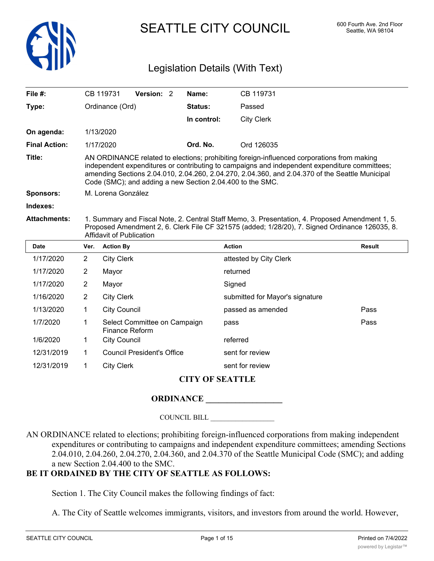

SEATTLE CITY COUNCIL 600 Fourth Ave. 2nd Floor

# Legislation Details (With Text)

| File #:                |                                                                                                                                                                                                                                                                                                                                                             | CB 119731           | Version: 2                        |  | Name:                  | CB 119731                       |               |  |
|------------------------|-------------------------------------------------------------------------------------------------------------------------------------------------------------------------------------------------------------------------------------------------------------------------------------------------------------------------------------------------------------|---------------------|-----------------------------------|--|------------------------|---------------------------------|---------------|--|
| Type:                  |                                                                                                                                                                                                                                                                                                                                                             | Ordinance (Ord)     |                                   |  | Status:                | Passed                          |               |  |
|                        |                                                                                                                                                                                                                                                                                                                                                             |                     |                                   |  | In control:            | <b>City Clerk</b>               |               |  |
| On agenda:             |                                                                                                                                                                                                                                                                                                                                                             | 1/13/2020           |                                   |  |                        |                                 |               |  |
| <b>Final Action:</b>   |                                                                                                                                                                                                                                                                                                                                                             | 1/17/2020           |                                   |  | Ord. No.               | Ord 126035                      |               |  |
| Title:                 | AN ORDINANCE related to elections; prohibiting foreign-influenced corporations from making<br>independent expenditures or contributing to campaigns and independent expenditure committees;<br>amending Sections 2.04.010, 2.04.260, 2.04.270, 2.04.360, and 2.04.370 of the Seattle Municipal<br>Code (SMC); and adding a new Section 2.04.400 to the SMC. |                     |                                   |  |                        |                                 |               |  |
| <b>Sponsors:</b>       | M. Lorena González                                                                                                                                                                                                                                                                                                                                          |                     |                                   |  |                        |                                 |               |  |
| Indexes:               |                                                                                                                                                                                                                                                                                                                                                             |                     |                                   |  |                        |                                 |               |  |
| <b>Attachments:</b>    | 1. Summary and Fiscal Note, 2. Central Staff Memo, 3. Presentation, 4. Proposed Amendment 1, 5.<br>Proposed Amendment 2, 6. Clerk File CF 321575 (added; 1/28/20), 7. Signed Ordinance 126035, 8.<br>Affidavit of Publication                                                                                                                               |                     |                                   |  |                        |                                 |               |  |
| <b>Date</b>            | Ver.                                                                                                                                                                                                                                                                                                                                                        | <b>Action By</b>    |                                   |  |                        | <b>Action</b>                   | <b>Result</b> |  |
| 1/17/2020              | $\overline{2}$                                                                                                                                                                                                                                                                                                                                              | <b>City Clerk</b>   |                                   |  | attested by City Clerk |                                 |               |  |
| 1/17/2020              | $\overline{2}$                                                                                                                                                                                                                                                                                                                                              | Mayor               |                                   |  | returned               |                                 |               |  |
| 1/17/2020              | $\overline{2}$                                                                                                                                                                                                                                                                                                                                              | Mayor               |                                   |  | Signed                 |                                 |               |  |
| 1/16/2020              | $\overline{2}$                                                                                                                                                                                                                                                                                                                                              | <b>City Clerk</b>   |                                   |  |                        | submitted for Mayor's signature |               |  |
| 1/13/2020              | 1                                                                                                                                                                                                                                                                                                                                                           | <b>City Council</b> |                                   |  |                        | passed as amended               | Pass          |  |
| 1/7/2020               | 1                                                                                                                                                                                                                                                                                                                                                           | Finance Reform      | Select Committee on Campaign      |  |                        | pass                            | Pass          |  |
| 1/6/2020               | 1                                                                                                                                                                                                                                                                                                                                                           | <b>City Council</b> |                                   |  |                        | referred                        |               |  |
| 12/31/2019             | $\mathbf 1$                                                                                                                                                                                                                                                                                                                                                 |                     | <b>Council President's Office</b> |  |                        | sent for review                 |               |  |
| 12/31/2019             | 1                                                                                                                                                                                                                                                                                                                                                           | <b>City Clerk</b>   |                                   |  |                        | sent for review                 |               |  |
| <b>CITY OF SEATTLE</b> |                                                                                                                                                                                                                                                                                                                                                             |                     |                                   |  |                        |                                 |               |  |

# **ORDINANCE \_\_\_\_\_\_\_\_\_\_\_\_\_\_\_\_\_\_**

#### COUNCIL BILL \_\_\_\_\_\_\_\_\_\_\_\_\_\_\_\_\_\_

AN ORDINANCE related to elections; prohibiting foreign-influenced corporations from making independent expenditures or contributing to campaigns and independent expenditure committees; amending Sections 2.04.010, 2.04.260, 2.04.270, 2.04.360, and 2.04.370 of the Seattle Municipal Code (SMC); and adding a new Section 2.04.400 to the SMC.

# **BE IT ORDAINED BY THE CITY OF SEATTLE AS FOLLOWS:**

Section 1. The City Council makes the following findings of fact:

A. The City of Seattle welcomes immigrants, visitors, and investors from around the world. However,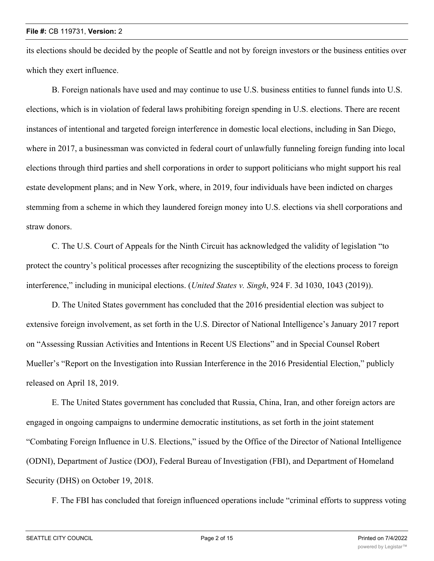its elections should be decided by the people of Seattle and not by foreign investors or the business entities over which they exert influence.

B. Foreign nationals have used and may continue to use U.S. business entities to funnel funds into U.S. elections, which is in violation of federal laws prohibiting foreign spending in U.S. elections. There are recent instances of intentional and targeted foreign interference in domestic local elections, including in San Diego, where in 2017, a businessman was convicted in federal court of unlawfully funneling foreign funding into local elections through third parties and shell corporations in order to support politicians who might support his real estate development plans; and in New York, where, in 2019, four individuals have been indicted on charges stemming from a scheme in which they laundered foreign money into U.S. elections via shell corporations and straw donors.

C. The U.S. Court of Appeals for the Ninth Circuit has acknowledged the validity of legislation "to protect the country's political processes after recognizing the susceptibility of the elections process to foreign interference," including in municipal elections. (*United States v. Singh*, 924 F. 3d 1030, 1043 (2019)).

D. The United States government has concluded that the 2016 presidential election was subject to extensive foreign involvement, as set forth in the U.S. Director of National Intelligence's January 2017 report on "Assessing Russian Activities and Intentions in Recent US Elections" and in Special Counsel Robert Mueller's "Report on the Investigation into Russian Interference in the 2016 Presidential Election," publicly released on April 18, 2019.

E. The United States government has concluded that Russia, China, Iran, and other foreign actors are engaged in ongoing campaigns to undermine democratic institutions, as set forth in the joint statement "Combating Foreign Influence in U.S. Elections," issued by the Office of the Director of National Intelligence (ODNI), Department of Justice (DOJ), Federal Bureau of Investigation (FBI), and Department of Homeland Security (DHS) on October 19, 2018.

F. The FBI has concluded that foreign influenced operations include "criminal efforts to suppress voting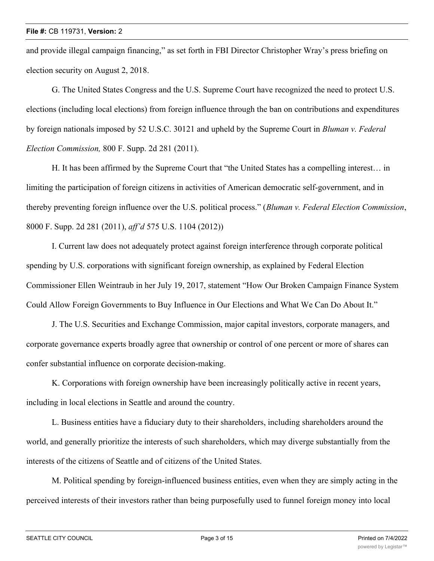and provide illegal campaign financing," as set forth in FBI Director Christopher Wray's press briefing on election security on August 2, 2018.

G. The United States Congress and the U.S. Supreme Court have recognized the need to protect U.S. elections (including local elections) from foreign influence through the ban on contributions and expenditures by foreign nationals imposed by 52 U.S.C. 30121 and upheld by the Supreme Court in *Bluman v. Federal Election Commission,* 800 F. Supp. 2d 281 (2011).

H. It has been affirmed by the Supreme Court that "the United States has a compelling interest… in limiting the participation of foreign citizens in activities of American democratic self-government, and in thereby preventing foreign influence over the U.S. political process." (*Bluman v. Federal Election Commission*, 8000 F. Supp. 2d 281 (2011), *aff'd* 575 U.S. 1104 (2012))

I. Current law does not adequately protect against foreign interference through corporate political spending by U.S. corporations with significant foreign ownership, as explained by Federal Election Commissioner Ellen Weintraub in her July 19, 2017, statement "How Our Broken Campaign Finance System Could Allow Foreign Governments to Buy Influence in Our Elections and What We Can Do About It."

J. The U.S. Securities and Exchange Commission, major capital investors, corporate managers, and corporate governance experts broadly agree that ownership or control of one percent or more of shares can confer substantial influence on corporate decision-making.

K. Corporations with foreign ownership have been increasingly politically active in recent years, including in local elections in Seattle and around the country.

L. Business entities have a fiduciary duty to their shareholders, including shareholders around the world, and generally prioritize the interests of such shareholders, which may diverge substantially from the interests of the citizens of Seattle and of citizens of the United States.

M. Political spending by foreign-influenced business entities, even when they are simply acting in the perceived interests of their investors rather than being purposefully used to funnel foreign money into local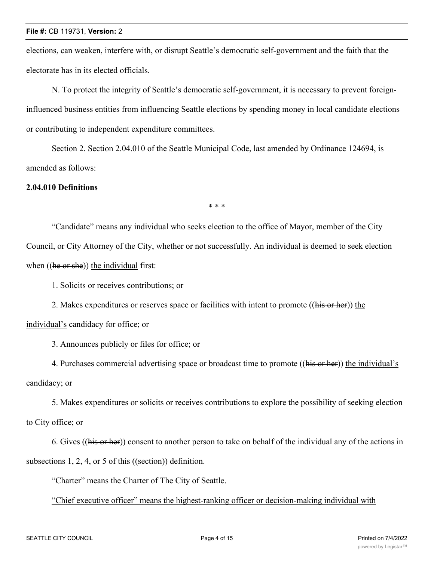elections, can weaken, interfere with, or disrupt Seattle's democratic self-government and the faith that the electorate has in its elected officials.

N. To protect the integrity of Seattle's democratic self-government, it is necessary to prevent foreigninfluenced business entities from influencing Seattle elections by spending money in local candidate elections or contributing to independent expenditure committees.

Section 2. Section 2.04.010 of the Seattle Municipal Code, last amended by Ordinance 124694, is amended as follows:

# **2.04.010 Definitions**

\* \* \*

"Candidate" means any individual who seeks election to the office of Mayor, member of the City Council, or City Attorney of the City, whether or not successfully. An individual is deemed to seek election when ((he or she)) the individual first:

1. Solicits or receives contributions; or

2. Makes expenditures or reserves space or facilities with intent to promote ((his or her)) the individual's candidacy for office; or

3. Announces publicly or files for office; or

4. Purchases commercial advertising space or broadcast time to promote ((his or her)) the individual's candidacy; or

5. Makes expenditures or solicits or receives contributions to explore the possibility of seeking election to City office; or

6. Gives ((his or her)) consent to another person to take on behalf of the individual any of the actions in subsections 1, 2, 4, or 5 of this ((section)) definition.

"Charter" means the Charter of The City of Seattle.

"Chief executive officer" means the highest-ranking officer or decision-making individual with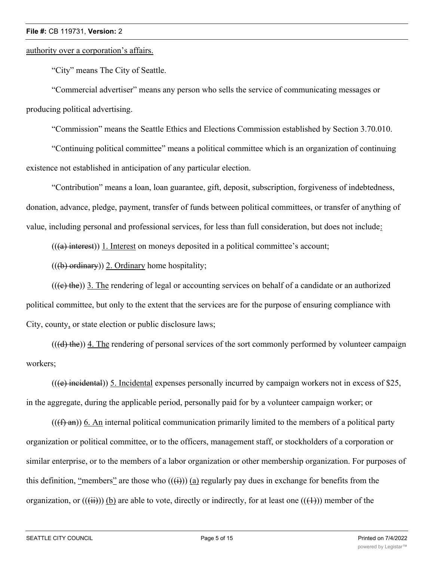# authority over a corporation's affairs.

"City" means The City of Seattle.

"Commercial advertiser" means any person who sells the service of communicating messages or producing political advertising.

"Commission" means the Seattle Ethics and Elections Commission established by Section 3.70.010.

"Continuing political committee" means a political committee which is an organization of continuing existence not established in anticipation of any particular election.

"Contribution" means a loan, loan guarantee, gift, deposit, subscription, forgiveness of indebtedness, donation, advance, pledge, payment, transfer of funds between political committees, or transfer of anything of value, including personal and professional services, for less than full consideration, but does not include:

 $((a)$  interest)) 1. Interest on moneys deposited in a political committee's account;

 $((\theta)$  ordinary)) 2. Ordinary home hospitality;

 $((e, the))$  3. The rendering of legal or accounting services on behalf of a candidate or an authorized political committee, but only to the extent that the services are for the purpose of ensuring compliance with City, county, or state election or public disclosure laws;

 $((\text{d})$  the)) 4. The rendering of personal services of the sort commonly performed by volunteer campaign workers;

 $((e)$  incidental)) 5. Incidental expenses personally incurred by campaign workers not in excess of \$25, in the aggregate, during the applicable period, personally paid for by a volunteer campaign worker; or

 $((f \rightarrow f a))$  6. An internal political communication primarily limited to the members of a political party organization or political committee, or to the officers, management staff, or stockholders of a corporation or similar enterprise, or to the members of a labor organization or other membership organization. For purposes of this definition, "members" are those who  $((\text{ii}))$  (a) regularly pay dues in exchange for benefits from the organization, or  $((\overrightarrow{ii}))$  (b) are able to vote, directly or indirectly, for at least one  $((\overrightarrow{ii}))$  member of the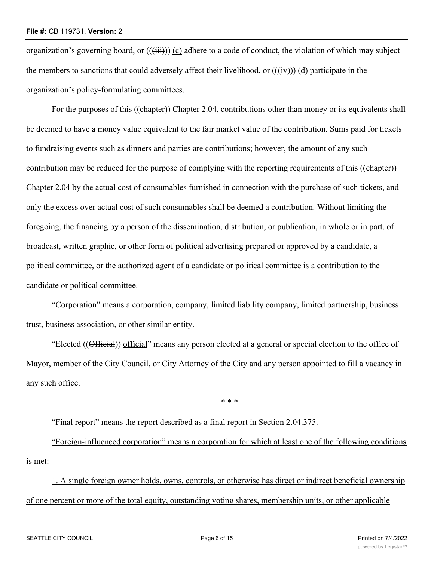#### **File #:** CB 119731, **Version:** 2

organization's governing board, or  $((\overrightarrow{iii}))$  (c) adhere to a code of conduct, the violation of which may subject the members to sanctions that could adversely affect their livelihood, or  $((\overrightarrow{iv}))$  (d) participate in the organization's policy-formulating committees.

For the purposes of this ((chapter)) Chapter 2.04, contributions other than money or its equivalents shall be deemed to have a money value equivalent to the fair market value of the contribution. Sums paid for tickets to fundraising events such as dinners and parties are contributions; however, the amount of any such contribution may be reduced for the purpose of complying with the reporting requirements of this ((chapter)) Chapter 2.04 by the actual cost of consumables furnished in connection with the purchase of such tickets, and only the excess over actual cost of such consumables shall be deemed a contribution. Without limiting the foregoing, the financing by a person of the dissemination, distribution, or publication, in whole or in part, of broadcast, written graphic, or other form of political advertising prepared or approved by a candidate, a political committee, or the authorized agent of a candidate or political committee is a contribution to the candidate or political committee.

"Corporation" means a corporation, company, limited liability company, limited partnership, business trust, business association, or other similar entity.

"Elected ((Official)) official" means any person elected at a general or special election to the office of Mayor, member of the City Council, or City Attorney of the City and any person appointed to fill a vacancy in any such office.

\* \* \*

"Final report" means the report described as a final report in Section 2.04.375.

"Foreign-influenced corporation" means a corporation for which at least one of the following conditions is met:

1. A single foreign owner holds, owns, controls, or otherwise has direct or indirect beneficial ownership of one percent or more of the total equity, outstanding voting shares, membership units, or other applicable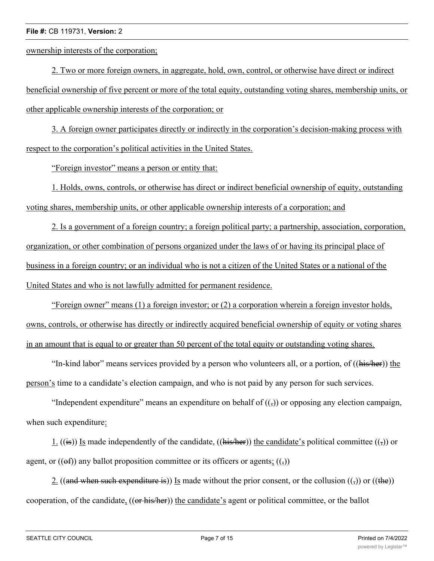#### **File #:** CB 119731, **Version:** 2

ownership interests of the corporation;

2. Two or more foreign owners, in aggregate, hold, own, control, or otherwise have direct or indirect beneficial ownership of five percent or more of the total equity, outstanding voting shares, membership units, or other applicable ownership interests of the corporation; or

3. A foreign owner participates directly or indirectly in the corporation's decision-making process with respect to the corporation's political activities in the United States.

"Foreign investor" means a person or entity that:

1. Holds, owns, controls, or otherwise has direct or indirect beneficial ownership of equity, outstanding voting shares, membership units, or other applicable ownership interests of a corporation; and

2. Is a government of a foreign country; a foreign political party; a partnership, association, corporation, organization, or other combination of persons organized under the laws of or having its principal place of business in a foreign country; or an individual who is not a citizen of the United States or a national of the United States and who is not lawfully admitted for permanent residence.

"Foreign owner" means (1) a foreign investor; or (2) a corporation wherein a foreign investor holds, owns, controls, or otherwise has directly or indirectly acquired beneficial ownership of equity or voting shares in an amount that is equal to or greater than 50 percent of the total equity or outstanding voting shares.

"In-kind labor" means services provided by a person who volunteers all, or a portion, of  $((\overline{\text{his/Her}}))$  the person's time to a candidate's election campaign, and who is not paid by any person for such services.

"Independent expenditure" means an expenditure on behalf of  $((\tau))$  or opposing any election campaign, when such expenditure:

1. ((is)) Is made independently of the candidate, ((his/her)) the candidate's political committee (( $\frac{1}{2}$ ) or agent, or  $((ef))$  any ballot proposition committee or its officers or agents;  $((,))$ 

2. ((and when such expenditure is)) Is made without the prior consent, or the collusion  $((\tau))$  or ((the)) cooperation, of the candidate, ((or his/her)) the candidate's agent or political committee, or the ballot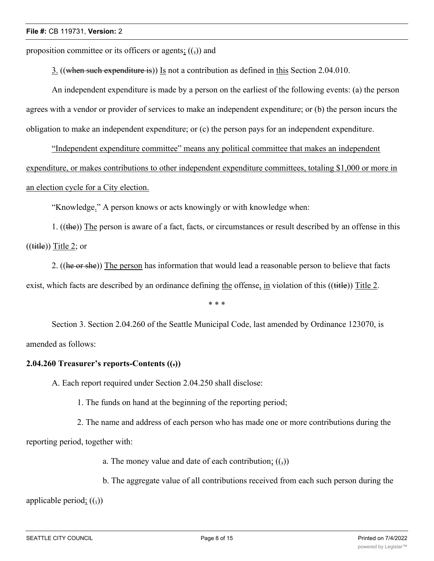proposition committee or its officers or agents;  $((\tau))$  and

3. ((when such expenditure is)) Is not a contribution as defined in this Section 2.04.010.

An independent expenditure is made by a person on the earliest of the following events: (a) the person agrees with a vendor or provider of services to make an independent expenditure; or (b) the person incurs the obligation to make an independent expenditure; or (c) the person pays for an independent expenditure.

"Independent expenditure committee" means any political committee that makes an independent expenditure, or makes contributions to other independent expenditure committees, totaling \$1,000 or more in an election cycle for a City election.

"Knowledge." A person knows or acts knowingly or with knowledge when:

1. ((the)) The person is aware of a fact, facts, or circumstances or result described by an offense in this  $((\text{title}))$  Title 2; or

2. ((he or she)) The person has information that would lead a reasonable person to believe that facts exist, which facts are described by an ordinance defining the offense, in violation of this ((title)) Title 2.

\* \* \*

Section 3. Section 2.04.260 of the Seattle Municipal Code, last amended by Ordinance 123070, is amended as follows:

# **2.04.260 Treasurer's reports-Contents ((.))**

A. Each report required under Section 2.04.250 shall disclose:

1. The funds on hand at the beginning of the reporting period;

2. The name and address of each person who has made one or more contributions during the reporting period, together with:

a. The money value and date of each contribution;  $((\tau))$ 

b. The aggregate value of all contributions received from each such person during the

applicable period;  $((\tau))$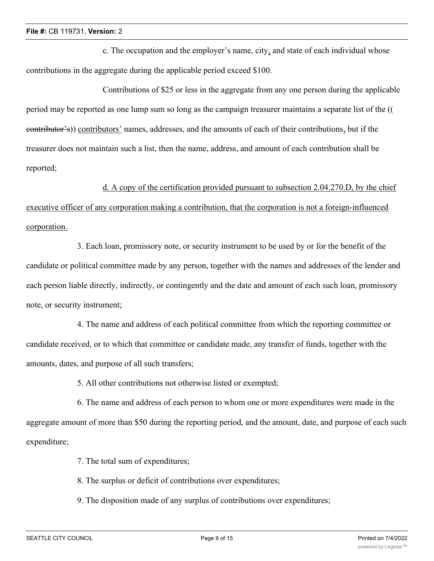c. The occupation and the employer's name, city, and state of each individual whose contributions in the aggregate during the applicable period exceed \$100.

Contributions of \$25 or less in the aggregate from any one person during the applicable period may be reported as one lump sum so long as the campaign treasurer maintains a separate list of the (( contributor's)) contributors' names, addresses, and the amounts of each of their contributions, but if the treasurer does not maintain such a list, then the name, address, and amount of each contribution shall be reported;

### d. A copy of the certification provided pursuant to subsection 2.04.270.D, by the chief

executive officer of any corporation making a contribution, that the corporation is not a foreign-influenced corporation.

3. Each loan, promissory note, or security instrument to be used by or for the benefit of the candidate or political committee made by any person, together with the names and addresses of the lender and each person liable directly, indirectly, or contingently and the date and amount of each such loan, promissory note, or security instrument;

4. The name and address of each political committee from which the reporting committee or candidate received, or to which that committee or candidate made, any transfer of funds, together with the amounts, dates, and purpose of all such transfers;

5. All other contributions not otherwise listed or exempted;

6. The name and address of each person to whom one or more expenditures were made in the aggregate amount of more than \$50 during the reporting period, and the amount, date, and purpose of each such expenditure;

7. The total sum of expenditures;

8. The surplus or deficit of contributions over expenditures;

9. The disposition made of any surplus of contributions over expenditures;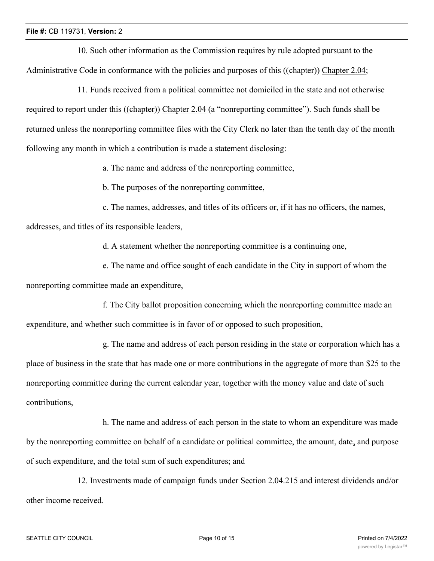10. Such other information as the Commission requires by rule adopted pursuant to the Administrative Code in conformance with the policies and purposes of this ((chapter)) Chapter 2.04;

11. Funds received from a political committee not domiciled in the state and not otherwise required to report under this ((chapter)) Chapter 2.04 (a "nonreporting committee"). Such funds shall be returned unless the nonreporting committee files with the City Clerk no later than the tenth day of the month following any month in which a contribution is made a statement disclosing:

a. The name and address of the nonreporting committee,

b. The purposes of the nonreporting committee,

c. The names, addresses, and titles of its officers or, if it has no officers, the names,

addresses, and titles of its responsible leaders,

d. A statement whether the nonreporting committee is a continuing one,

e. The name and office sought of each candidate in the City in support of whom the nonreporting committee made an expenditure,

f. The City ballot proposition concerning which the nonreporting committee made an expenditure, and whether such committee is in favor of or opposed to such proposition,

g. The name and address of each person residing in the state or corporation which has a place of business in the state that has made one or more contributions in the aggregate of more than \$25 to the nonreporting committee during the current calendar year, together with the money value and date of such contributions,

h. The name and address of each person in the state to whom an expenditure was made by the nonreporting committee on behalf of a candidate or political committee, the amount, date, and purpose of such expenditure, and the total sum of such expenditures; and

12. Investments made of campaign funds under Section 2.04.215 and interest dividends and/or other income received.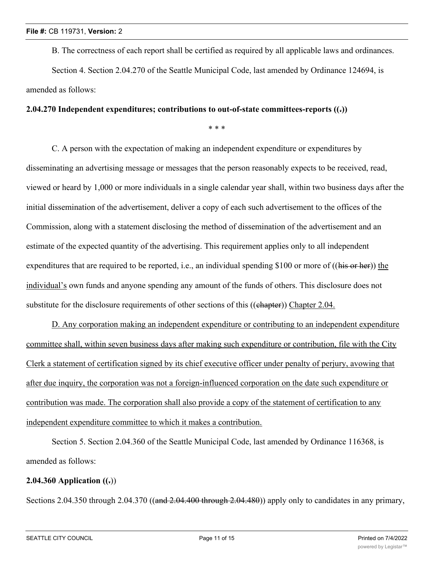B. The correctness of each report shall be certified as required by all applicable laws and ordinances.

Section 4. Section 2.04.270 of the Seattle Municipal Code, last amended by Ordinance 124694, is amended as follows:

# **2.04.270 Independent expenditures; contributions to out-of-state committees-reports ((.))**

\* \* \*

C. A person with the expectation of making an independent expenditure or expenditures by disseminating an advertising message or messages that the person reasonably expects to be received, read, viewed or heard by 1,000 or more individuals in a single calendar year shall, within two business days after the initial dissemination of the advertisement, deliver a copy of each such advertisement to the offices of the Commission, along with a statement disclosing the method of dissemination of the advertisement and an estimate of the expected quantity of the advertising. This requirement applies only to all independent expenditures that are required to be reported, i.e., an individual spending \$100 or more of ((his or her)) the individual's own funds and anyone spending any amount of the funds of others. This disclosure does not substitute for the disclosure requirements of other sections of this ((ehapter)) Chapter 2.04.

D. Any corporation making an independent expenditure or contributing to an independent expenditure committee shall, within seven business days after making such expenditure or contribution, file with the City Clerk a statement of certification signed by its chief executive officer under penalty of perjury, avowing that after due inquiry, the corporation was not a foreign-influenced corporation on the date such expenditure or contribution was made. The corporation shall also provide a copy of the statement of certification to any independent expenditure committee to which it makes a contribution.

Section 5. Section 2.04.360 of the Seattle Municipal Code, last amended by Ordinance 116368, is amended as follows:

# **2.04.360 Application**  $((.)$

Sections 2.04.350 through 2.04.370 ((and 2.04.400 through 2.04.480)) apply only to candidates in any primary,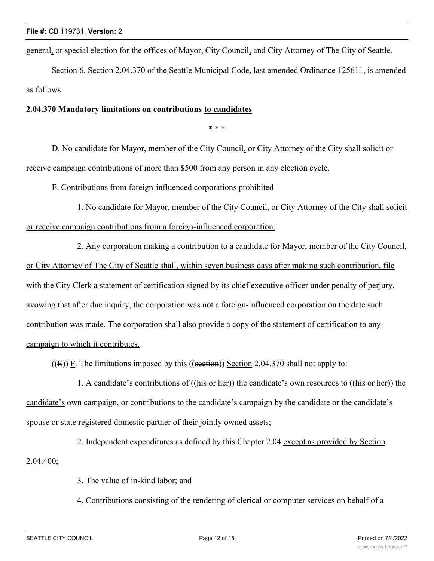general, or special election for the offices of Mayor, City Council, and City Attorney of The City of Seattle.

Section 6. Section 2.04.370 of the Seattle Municipal Code, last amended Ordinance 125611, is amended as follows:

# **2.04.370 Mandatory limitations on contributions to candidates**

\* \* \*

D. No candidate for Mayor, member of the City Council, or City Attorney of the City shall solicit or receive campaign contributions of more than \$500 from any person in any election cycle.

E. Contributions from foreign-influenced corporations prohibited

1. No candidate for Mayor, member of the City Council, or City Attorney of the City shall solicit or receive campaign contributions from a foreign-influenced corporation.

2. Any corporation making a contribution to a candidate for Mayor, member of the City Council, or City Attorney of The City of Seattle shall, within seven business days after making such contribution, file with the City Clerk a statement of certification signed by its chief executive officer under penalty of perjury, avowing that after due inquiry, the corporation was not a foreign-influenced corporation on the date such contribution was made. The corporation shall also provide a copy of the statement of certification to any campaign to which it contributes.

 $((E))$  F. The limitations imposed by this  $((section 2.04.370)$  shall not apply to:

1. A candidate's contributions of ((his or her)) the candidate's own resources to ((his or her)) the candidate's own campaign, or contributions to the candidate's campaign by the candidate or the candidate's spouse or state registered domestic partner of their jointly owned assets;

2. Independent expenditures as defined by this Chapter 2.04 except as provided by Section 2.04.400;

3. The value of in-kind labor; and

4. Contributions consisting of the rendering of clerical or computer services on behalf of a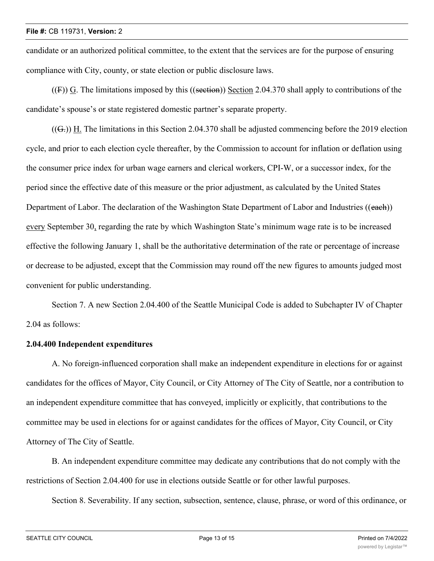candidate or an authorized political committee, to the extent that the services are for the purpose of ensuring compliance with City, county, or state election or public disclosure laws.

 $((F))$  G. The limitations imposed by this  $((section))$  Section 2.04.370 shall apply to contributions of the candidate's spouse's or state registered domestic partner's separate property.

 $((G<sub>z</sub>))$  H. The limitations in this Section 2.04.370 shall be adjusted commencing before the 2019 election cycle, and prior to each election cycle thereafter, by the Commission to account for inflation or deflation using the consumer price index for urban wage earners and clerical workers, CPI-W, or a successor index, for the period since the effective date of this measure or the prior adjustment, as calculated by the United States Department of Labor. The declaration of the Washington State Department of Labor and Industries ((each)) every September 30, regarding the rate by which Washington State's minimum wage rate is to be increased effective the following January 1, shall be the authoritative determination of the rate or percentage of increase or decrease to be adjusted, except that the Commission may round off the new figures to amounts judged most convenient for public understanding.

Section 7. A new Section 2.04.400 of the Seattle Municipal Code is added to Subchapter IV of Chapter 2.04 as follows:

# **2.04.400 Independent expenditures**

A. No foreign-influenced corporation shall make an independent expenditure in elections for or against candidates for the offices of Mayor, City Council, or City Attorney of The City of Seattle, nor a contribution to an independent expenditure committee that has conveyed, implicitly or explicitly, that contributions to the committee may be used in elections for or against candidates for the offices of Mayor, City Council, or City Attorney of The City of Seattle.

B. An independent expenditure committee may dedicate any contributions that do not comply with the restrictions of Section 2.04.400 for use in elections outside Seattle or for other lawful purposes.

Section 8. Severability. If any section, subsection, sentence, clause, phrase, or word of this ordinance, or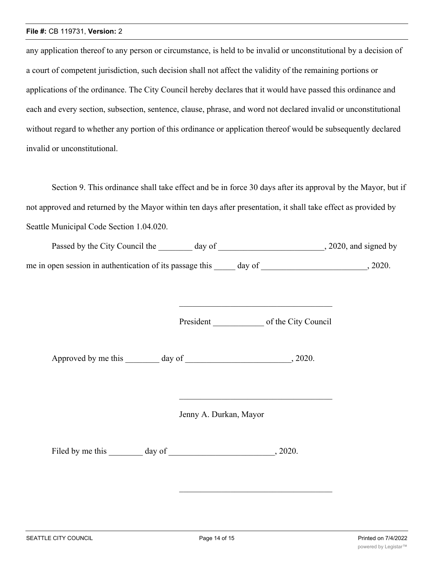#### **File #:** CB 119731, **Version:** 2

any application thereof to any person or circumstance, is held to be invalid or unconstitutional by a decision of a court of competent jurisdiction, such decision shall not affect the validity of the remaining portions or applications of the ordinance. The City Council hereby declares that it would have passed this ordinance and each and every section, subsection, sentence, clause, phrase, and word not declared invalid or unconstitutional without regard to whether any portion of this ordinance or application thereof would be subsequently declared invalid or unconstitutional.

Section 9. This ordinance shall take effect and be in force 30 days after its approval by the Mayor, but if not approved and returned by the Mayor within ten days after presentation, it shall take effect as provided by Seattle Municipal Code Section 1.04.020.

| Passed by the City Council the                           | day of | , 2020, and signed by |
|----------------------------------------------------------|--------|-----------------------|
| me in open session in authentication of its passage this | day of | 2020.                 |

President of the City Council

Approved by me this day of the case of the case of the case of  $\alpha$ , 2020.

Jenny A. Durkan, Mayor

Filed by me this day of 3020.